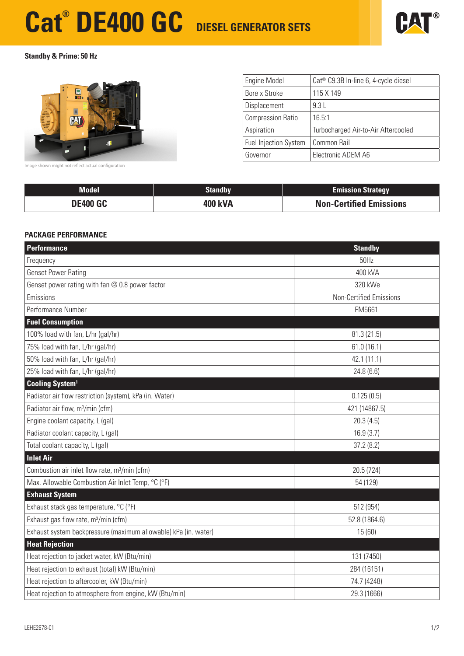## **Cat® DE400 GC DIESEL GENERATOR SETS**



**Standby & Prime: 50 Hz**



| <b>Engine Model</b>          | Cat <sup>®</sup> C9.3B In-line 6, 4-cycle diesel |
|------------------------------|--------------------------------------------------|
| Bore x Stroke                | 115 X 149                                        |
| Displacement                 | 9.3L                                             |
| <b>Compression Ratio</b>     | 16.5:1                                           |
| Aspiration                   | Turbocharged Air-to-Air Aftercooled              |
| <b>Fuel Injection System</b> | Common Rail                                      |
| Governor                     | Electronic ADEM A6                               |

Image shown might not reflect actual configuration

| <b>Model</b>    | <b>Standby</b> | <b>Emission Strategy</b>       |
|-----------------|----------------|--------------------------------|
| <b>DE400 GC</b> | 400 kVA        | <b>Non-Certified Emissions</b> |

#### **PACKAGE PERFORMANCE**

| Performance                                                     | <b>Standby</b>                 |
|-----------------------------------------------------------------|--------------------------------|
| Frequency                                                       | 50Hz                           |
| <b>Genset Power Rating</b>                                      | 400 kVA                        |
| Genset power rating with fan @ 0.8 power factor                 | 320 kWe                        |
| Emissions                                                       | <b>Non-Certified Emissions</b> |
| Performance Number                                              | EM5661                         |
| <b>Fuel Consumption</b>                                         |                                |
| 100% load with fan, L/hr (gal/hr)                               | 81.3 (21.5)                    |
| 75% load with fan, L/hr (gal/hr)                                | 61.0(16.1)                     |
| 50% load with fan, L/hr (gal/hr)                                | 42.1 (11.1)                    |
| 25% load with fan, L/hr (gal/hr)                                | 24.8(6.6)                      |
| <b>Cooling System1</b>                                          |                                |
| Radiator air flow restriction (system), kPa (in. Water)         | 0.125(0.5)                     |
| Radiator air flow, m <sup>3</sup> /min (cfm)                    | 421 (14867.5)                  |
| Engine coolant capacity, L (gal)                                | 20.3(4.5)                      |
| Radiator coolant capacity, L (gal)                              | 16.9(3.7)                      |
| Total coolant capacity, L (gal)                                 | 37.2(8.2)                      |
| <b>Inlet Air</b>                                                |                                |
| Combustion air inlet flow rate, m <sup>3</sup> /min (cfm)       | 20.5 (724)                     |
| Max. Allowable Combustion Air Inlet Temp, °C (°F)               | 54 (129)                       |
| <b>Exhaust System</b>                                           |                                |
| Exhaust stack gas temperature, °C (°F)                          | 512 (954)                      |
| Exhaust gas flow rate, m <sup>3</sup> /min (cfm)                | 52.8 (1864.6)                  |
| Exhaust system backpressure (maximum allowable) kPa (in. water) | 15 (60)                        |
| <b>Heat Rejection</b>                                           |                                |
| Heat rejection to jacket water, kW (Btu/min)                    | 131 (7450)                     |
| Heat rejection to exhaust (total) kW (Btu/min)                  | 284 (16151)                    |
| Heat rejection to aftercooler, kW (Btu/min)                     | 74.7 (4248)                    |
| Heat rejection to atmosphere from engine, kW (Btu/min)          | 29.3 (1666)                    |